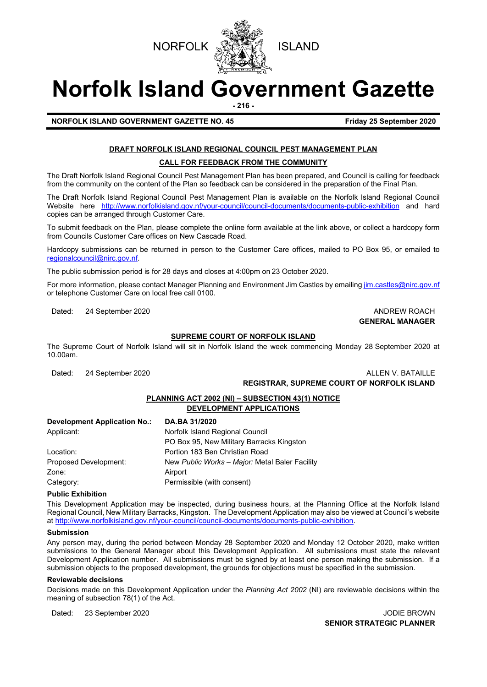

# **Norfolk Island Government Gazette**

**- 216 -**

**NORFOLK ISLAND GOVERNMENT GAZETTE NO. 45 Friday 25 September 2020**

## **DRAFT NORFOLK ISLAND REGIONAL COUNCIL PEST MANAGEMENT PLAN**

#### **CALL FOR FEEDBACK FROM THE COMMUNITY**

The Draft Norfolk Island Regional Council Pest Management Plan has been prepared, and Council is calling for feedback from the community on the content of the Plan so feedback can be considered in the preparation of the Final Plan.

The Draft Norfolk Island Regional Council Pest Management Plan is available on the Norfolk Island Regional Council Website here <http://www.norfolkisland.gov.nf/your-council/council-documents/documents-public-exhibition> and hard copies can be arranged through Customer Care.

To submit feedback on the Plan, please complete the online form available at the link above, or collect a hardcopy form from Councils Customer Care offices on New Cascade Road.

Hardcopy submissions can be returned in person to the Customer Care offices, mailed to PO Box 95, or emailed to [regionalcouncil@nirc.gov.nf.](mailto:regionalcouncil@nirc.gov.nf)

The public submission period is for 28 days and closes at 4:00pm on 23 October 2020.

For more information, please contact Manager Planning and Environment Jim Castles by emailin[g jim.castles@nirc.gov.nf](mailto:jim.castles@nirc.gov.nf) or telephone Customer Care on local free call 0100.

Dated: 24 September 2020 **ANDREW ROACH CONSIDERED AND AND REW ROACH** 

## **GENERAL MANAGER**

### **SUPREME COURT OF NORFOLK ISLAND**

The Supreme Court of Norfolk Island will sit in Norfolk Island the week commencing Monday 28 September 2020 at 10.00am.

#### Dated: 24 September 2020 **ALLEN V. BATAILLE REGISTRAR, SUPREME COURT OF NORFOLK ISLAND**

## **PLANNING ACT 2002 (NI) – SUBSECTION 43(1) NOTICE**

|--|

| Development Application No.: | DA.BA 31/2020                                  |  |
|------------------------------|------------------------------------------------|--|
| Applicant:                   | Norfolk Island Regional Council                |  |
|                              | PO Box 95, New Military Barracks Kingston      |  |
| Location:                    | Portion 183 Ben Christian Road                 |  |
| Proposed Development:        | New Public Works - Major: Metal Baler Facility |  |
| Zone:                        | Airport                                        |  |
| Category:                    | Permissible (with consent)                     |  |

#### **Public Exhibition**

This Development Application may be inspected, during business hours, at the Planning Office at the Norfolk Island Regional Council, New Military Barracks, Kingston. The Development Application may also be viewed at Council's website a[t http://www.norfolkisland.gov.nf/your-council/council-documents/documents-public-exhibition.](http://www.norfolkisland.gov.nf/your-council/council-documents/documents-public-exhibition)

#### **Submission**

Any person may, during the period between Monday 28 September 2020 and Monday 12 October 2020, make written submissions to the General Manager about this Development Application. All submissions must state the relevant Development Application number. All submissions must be signed by at least one person making the submission. If a submission objects to the proposed development, the grounds for objections must be specified in the submission.

#### **Reviewable decisions**

Decisions made on this Development Application under the *Planning Act 2002* (NI) are reviewable decisions within the meaning of subsection 78(1) of the Act.

Dated: 23 September 2020 JODIE BROWN

**SENIOR STRATEGIC PLANNER**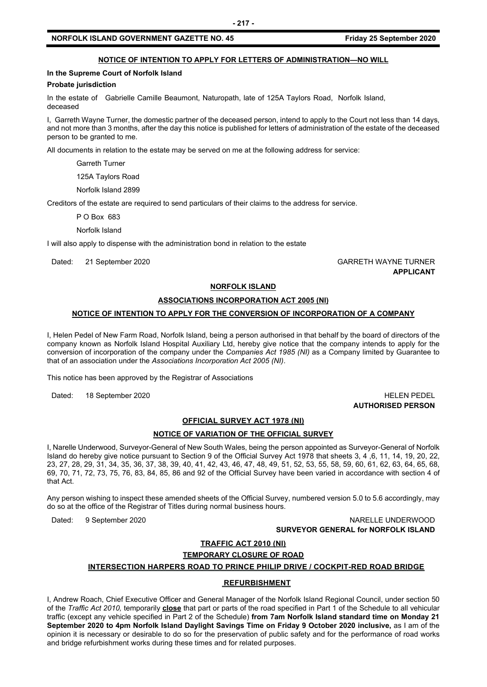#### **NOTICE OF INTENTION TO APPLY FOR LETTERS OF ADMINISTRATION—NO WILL**

#### **In the Supreme Court of Norfolk Island**

#### **Probate jurisdiction**

In the estate of Gabrielle Camille Beaumont, Naturopath, late of 125A Taylors Road, Norfolk Island, deceased

I, Garreth Wayne Turner, the domestic partner of the deceased person, intend to apply to the Court not less than 14 days, and not more than 3 months, after the day this notice is published for letters of administration of the estate of the deceased person to be granted to me.

All documents in relation to the estate may be served on me at the following address for service:

Garreth Turner

125A Taylors Road

Norfolk Island 2899

Creditors of the estate are required to send particulars of their claims to the address for service.

P O Box 683

Norfolk Island

I will also apply to dispense with the administration bond in relation to the estate

Dated: 21 September 2020 GARRETH WAYNE TURNER **APPLICANT**

#### **NORFOLK ISLAND**

#### **ASSOCIATIONS INCORPORATION ACT 2005 (NI)**

#### **NOTICE OF INTENTION TO APPLY FOR THE CONVERSION OF INCORPORATION OF A COMPANY**

I, Helen Pedel of New Farm Road, Norfolk Island, being a person authorised in that behalf by the board of directors of the company known as Norfolk Island Hospital Auxiliary Ltd, hereby give notice that the company intends to apply for the conversion of incorporation of the company under the *Companies Act 1985 (NI)* as a Company limited by Guarantee to that of an association under the *Associations Incorporation Act 2005 (NI)*.

This notice has been approved by the Registrar of Associations

Dated: 18 September 2020 **HELEN PEDEL** 

## **AUTHORISED PERSON**

#### **OFFICIAL SURVEY ACT 1978 (NI)**

#### **NOTICE OF VARIATION OF THE OFFICIAL SURVEY**

I, Narelle Underwood, Surveyor-General of New South Wales, being the person appointed as Surveyor-General of Norfolk Island do hereby give notice pursuant to Section 9 of the Official Survey Act 1978 that sheets 3, 4 ,6, 11, 14, 19, 20, 22, 23, 27, 28, 29, 31, 34, 35, 36, 37, 38, 39, 40, 41, 42, 43, 46, 47, 48, 49, 51, 52, 53, 55, 58, 59, 60, 61, 62, 63, 64, 65, 68, 69, 70, 71, 72, 73, 75, 76, 83, 84, 85, 86 and 92 of the Official Survey have been varied in accordance with section 4 of that Act.

Any person wishing to inspect these amended sheets of the Official Survey, numbered version 5.0 to 5.6 accordingly, may do so at the office of the Registrar of Titles during normal business hours.

Dated: 9 September 2020 NARELLE UNDERWOOD

**SURVEYOR GENERAL for NORFOLK ISLAND**

#### **TRAFFIC ACT 2010 (NI)**

**TEMPORARY CLOSURE OF ROAD**

#### **INTERSECTION HARPERS ROAD TO PRINCE PHILIP DRIVE / COCKPIT-RED ROAD BRIDGE**

#### **REFURBISHMENT**

I, Andrew Roach, Chief Executive Officer and General Manager of the Norfolk Island Regional Council, under section 50 of the *Traffic Act 2010,* temporarily **close** that part or parts of the road specified in Part 1 of the Schedule to all vehicular traffic (except any vehicle specified in Part 2 of the Schedule) **from 7am Norfolk Island standard time on Monday 21**  September 2020 to 4pm Norfolk Island Daylight Savings Time on Friday 9 October 2020 inclusive, as I am of the opinion it is necessary or desirable to do so for the preservation of public safety and for the performance of road works and bridge refurbishment works during these times and for related purposes.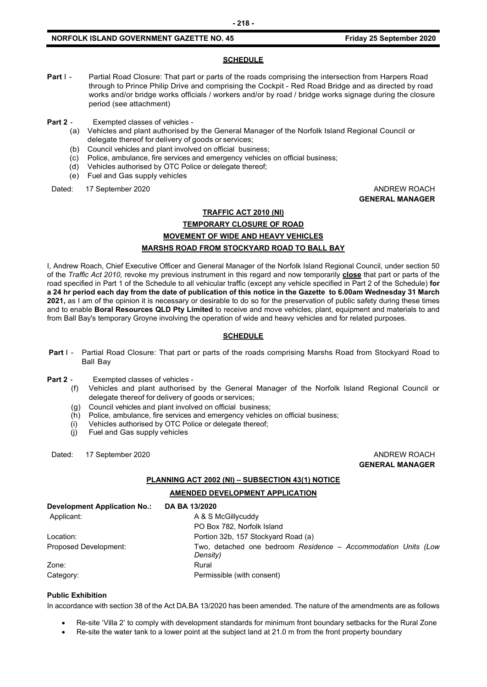#### **SCHEDULE**

- Part I Partial Road Closure: That part or parts of the roads comprising the intersection from Harpers Road through to Prince Philip Drive and comprising the Cockpit - Red Road Bridge and as directed by road works and/or bridge works officials / workers and/or by road / bridge works signage during the closure period (see attachment)
- **Part 2** Exempted classes of vehicles
	- (a) Vehicles and plant authorised by the General Manager of the Norfolk Island Regional Council or delegate thereof for delivery of goods or services;
	- (b) Council vehicles and plant involved on official business;
	- (c) Police, ambulance, fire services and emergency vehicles on official business;
	- (d) Vehicles authorised by OTC Police or delegate thereof;
	- (e) Fuel and Gas supply vehicles

Dated: 17 September 2020 **ANDREW ROACH CONSIDERER AND ANDREW ROACH** 

**GENERAL MANAGER**

### **TRAFFIC ACT 2010 (NI) TEMPORARY CLOSURE OF ROAD MOVEMENT OF WIDE AND HEAVY VEHICLES MARSHS ROAD FROM STOCKYARD ROAD TO BALL BAY**

I, Andrew Roach, Chief Executive Officer and General Manager of the Norfolk Island Regional Council, under section 50 of the *Traffic Act 2010,* revoke my previous instrument in this regard and now temporarily **close** that part or parts of the road specified in Part 1 of the Schedule to all vehicular traffic (except any vehicle specified in Part 2 of the Schedule) **for a 24 hr period each day from the date of publication of this notice in the Gazette to 6.00am Wednesday 31 March 2021,** as I am of the opinion it is necessary or desirable to do so for the preservation of public safety during these times and to enable **Boral Resources QLD Pty Limited** to receive and move vehicles, plant, equipment and materials to and from Ball Bay's temporary Groyne involving the operation of wide and heavy vehicles and for related purposes.

#### **SCHEDULE**

- **Part** I Partial Road Closure: That part or parts of the roads comprising Marshs Road from Stockyard Road to Ball Bay
- **Part 2** Exempted classes of vehicles
	- (f) Vehicles and plant authorised by the General Manager of the Norfolk Island Regional Council or delegate thereof for delivery of goods or services;
	- (g) Council vehicles and plant involved on official business;
	- (h) Police, ambulance, fire services and emergency vehicles on official business;
	- (i) Vehicles authorised by OTC Police or delegate thereof;
	- (j) Fuel and Gas supply vehicles

Dated: 17 September 2020 **ANDREW ROACH** 

**GENERAL MANAGER**

#### **PLANNING ACT 2002 (NI) – SUBSECTION 43(1) NOTICE**

#### **AMENDED DEVELOPMENT APPLICATION**

| <b>Development Application No.:</b> | DA BA 13/2020                                                              |
|-------------------------------------|----------------------------------------------------------------------------|
| Applicant:                          | A & S McGillycuddy                                                         |
|                                     | PO Box 782, Norfolk Island                                                 |
| Location:                           | Portion 32b, 157 Stockyard Road (a)                                        |
| Proposed Development:               | Two, detached one bedroom Residence - Accommodation Units (Low<br>Density) |
| Zone:                               | Rural                                                                      |
| Category:                           | Permissible (with consent)                                                 |

#### **Public Exhibition**

In accordance with section 38 of the Act DA.BA 13/2020 has been amended. The nature of the amendments are as follows

- Re-site 'Villa 2' to comply with development standards for minimum front boundary setbacks for the Rural Zone
- Re-site the water tank to a lower point at the subject land at 21.0 m from the front property boundary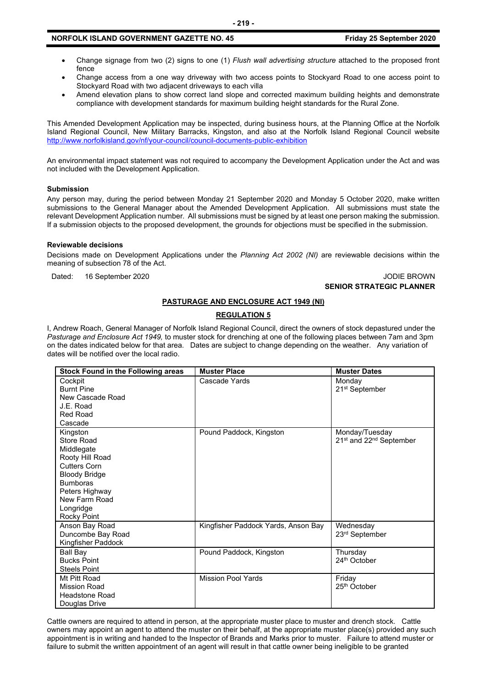- Change signage from two (2) signs to one (1) *Flush wall advertising structure* attached to the proposed front fence
- Change access from a one way driveway with two access points to Stockyard Road to one access point to Stockyard Road with two adjacent driveways to each villa
- Amend elevation plans to show correct land slope and corrected maximum building heights and demonstrate compliance with development standards for maximum building height standards for the Rural Zone.

This Amended Development Application may be inspected, during business hours, at the Planning Office at the Norfolk Island Regional Council, New Military Barracks, Kingston, and also at the Norfolk Island Regional Council website <http://www.norfolkisland.gov/nf/your-council/council-documents-public-exhibition>

An environmental impact statement was not required to accompany the Development Application under the Act and was not included with the Development Application.

#### **Submission**

Any person may, during the period between Monday 21 September 2020 and Monday 5 October 2020, make written submissions to the General Manager about the Amended Development Application. All submissions must state the relevant Development Application number. All submissions must be signed by at least one person making the submission. If a submission objects to the proposed development, the grounds for objections must be specified in the submission.

#### **Reviewable decisions**

Decisions made on Development Applications under the *Planning Act 2002 (NI)* are reviewable decisions within the meaning of subsection 78 of the Act.

Dated: 16 September 2020 JODIE BROWN

## **SENIOR STRATEGIC PLANNER**

#### **PASTURAGE AND ENCLOSURE ACT 1949 (NI)**

#### **REGULATION 5**

I, Andrew Roach, General Manager of Norfolk Island Regional Council, direct the owners of stock depastured under the *Pasturage and Enclosure Act 1949,* to muster stock for drenching at one of the following places between 7am and 3pm on the dates indicated below for that area. Dates are subject to change depending on the weather. Any variation of dates will be notified over the local radio.

| Stock Found in the Following areas                                                                                                                                                                     | <b>Muster Place</b>                 | <b>Muster Dates</b>                                               |
|--------------------------------------------------------------------------------------------------------------------------------------------------------------------------------------------------------|-------------------------------------|-------------------------------------------------------------------|
| Cockpit<br><b>Burnt Pine</b><br>New Cascade Road<br>J.E. Road<br><b>Red Road</b><br>Cascade                                                                                                            | Cascade Yards                       | Monday<br>21 <sup>st</sup> September                              |
| Kingston<br><b>Store Road</b><br>Middlegate<br>Rooty Hill Road<br><b>Cutters Corn</b><br><b>Bloody Bridge</b><br><b>Bumboras</b><br>Peters Highway<br>New Farm Road<br>Longridge<br><b>Rocky Point</b> | Pound Paddock, Kingston             | Monday/Tuesday<br>21 <sup>st</sup> and 22 <sup>nd</sup> September |
| Anson Bay Road<br>Duncombe Bay Road<br>Kingfisher Paddock                                                                                                                                              | Kingfisher Paddock Yards, Anson Bay | Wednesday<br>23rd September                                       |
| Ball Bay<br><b>Bucks Point</b><br><b>Steels Point</b>                                                                                                                                                  | Pound Paddock, Kingston             | Thursday<br>24 <sup>th</sup> October                              |
| Mt Pitt Road<br><b>Mission Road</b><br><b>Headstone Road</b><br>Douglas Drive                                                                                                                          | <b>Mission Pool Yards</b>           | Friday<br>25 <sup>th</sup> October                                |

Cattle owners are required to attend in person, at the appropriate muster place to muster and drench stock. Cattle owners may appoint an agent to attend the muster on their behalf, at the appropriate muster place(s) provided any such appointment is in writing and handed to the Inspector of Brands and Marks prior to muster. Failure to attend muster or failure to submit the written appointment of an agent will result in that cattle owner being ineligible to be granted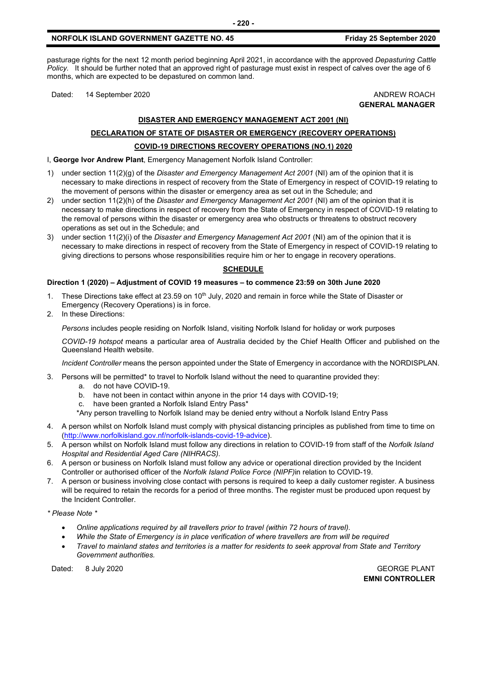pasturage rights for the next 12 month period beginning April 2021, in accordance with the approved *Depasturing Cattle Policy.* It should be further noted that an approved right of pasturage must exist in respect of calves over the age of 6 months, which are expected to be depastured on common land.

Dated: 14 September 2020 **ANDREW ROACH BELL ANDREW ROACH** 

**GENERAL MANAGER**

#### **DISASTER AND EMERGENCY MANAGEMENT ACT 2001 (NI)**

## **DECLARATION OF STATE OF DISASTER OR EMERGENCY (RECOVERY OPERATIONS) COVID-19 DIRECTIONS RECOVERY OPERATIONS (NO.1) 2020**

I, **George Ivor Andrew Plant**, Emergency Management Norfolk Island Controller:

- 1) under section 11(2)(g) of the *Disaster and Emergency Management Act 2001* (NI) am of the opinion that it is necessary to make directions in respect of recovery from the State of Emergency in respect of COVID-19 relating to the movement of persons within the disaster or emergency area as set out in the Schedule; and
- 2) under section 11(2)(h) of the *Disaster and Emergency Management Act 2001* (NI) am of the opinion that it is necessary to make directions in respect of recovery from the State of Emergency in respect of COVID-19 relating to the removal of persons within the disaster or emergency area who obstructs or threatens to obstruct recovery operations as set out in the Schedule; and
- 3) under section 11(2)(i) of the *Disaster and Emergency Management Act 2001* (NI) am of the opinion that it is necessary to make directions in respect of recovery from the State of Emergency in respect of COVID-19 relating to giving directions to persons whose responsibilities require him or her to engage in recovery operations.

#### **SCHEDULE**

#### **Direction 1 (2020) – Adjustment of COVID 19 measures – to commence 23:59 on 30th June 2020**

- 1. These Directions take effect at 23.59 on 10<sup>th</sup> July, 2020 and remain in force while the State of Disaster or Emergency (Recovery Operations) is in force.
- 2. In these Directions:

*Persons* includes people residing on Norfolk Island, visiting Norfolk Island for holiday or work purposes

*COVID-19 hotspot* means a particular area of Australia decided by the Chief Health Officer and published on the Queensland Health website.

*Incident Controller* means the person appointed under the State of Emergency in accordance with the NORDISPLAN.

- 3. Persons will be permitted\* to travel to Norfolk Island without the need to quarantine provided they:
	- a. do not have COVID-19.
	- b. have not been in contact within anyone in the prior 14 days with COVID-19;
	- c. have been granted a Norfolk Island Entry Pass\*
	- \*Any person travelling to Norfolk Island may be denied entry without a Norfolk Island Entry Pass
- 4. A person whilst on Norfolk Island must comply with physical distancing principles as published from time to time on [\(http://www.norfolkisland.gov.nf/norfolk-islands-covid-19-advice\)](http://www.norfolkisland.gov.nf/norfolk-islands-covid-19-advice).
- 5. A person whilst on Norfolk Island must follow any directions in relation to COVID-19 from staff of the *Norfolk Island Hospital and Residential Aged Care (NIHRACS).*
- 6. A person or business on Norfolk Island must follow any advice or operational direction provided by the Incident Controller or authorised officer of the *Norfolk Island Police Force (NIPF)*in relation to COVID-19.
- 7. A person or business involving close contact with persons is required to keep a daily customer register. A business will be required to retain the records for a period of three months. The register must be produced upon request by the Incident Controller.

*\* Please Note \** 

- *Online applications required by all travellers prior to travel (within 72 hours of travel).*
- *While the State of Emergency is in place verification of where travellers are from will be required*
- *Travel to mainland states and territories is a matter for residents to seek approval from State and Territory Government authorities.*

Dated: 8 July 2020 GEORGE PLANT **EMNI CONTROLLER**